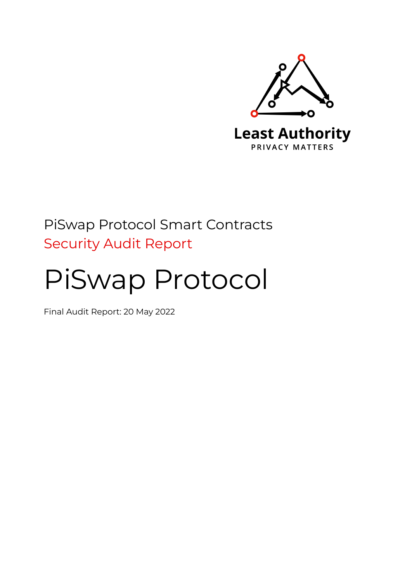

# PiSwap Protocol Smart Contracts Security Audit Report

# PiSwap Protocol

Final Audit Report: 20 May 2022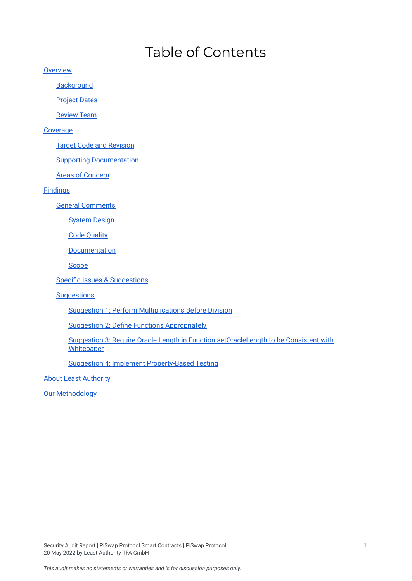# Table of Contents

**[Overview](#page-2-0)** 

**[Background](#page-2-1)** 

**[Project](#page-2-2) Dates** 

[Review](#page-2-3) Team

#### [Coverage](#page-2-4)

Target Code and [Revision](#page-2-5)

Supporting [Documentation](#page-2-6)

Areas of [Concern](#page-3-0)

[Findings](#page-3-1)

General [Comments](#page-3-2)

[System](#page-3-3) Design

Code [Quality](#page-3-4)

[Documentation](#page-4-0)

**[Scope](#page-4-1)** 

Specific Issues & [Suggestions](#page-4-2)

**[Suggestions](#page-5-0)** 

Suggestion 1: Perform [Multiplications](#page-5-1) Before Division

Suggestion 2: Define Functions [Appropriately](#page-5-2)

Suggestion 3: Require Oracle Length in Function [setOracleLength](#page-6-0) to be Consistent with **[Whitepaper](#page-6-0)** 

Suggestion 4: Implement [Property-Based](#page-7-0) Testing

**About Least [Authority](#page-8-0)** 

Our [Methodology](#page-8-1)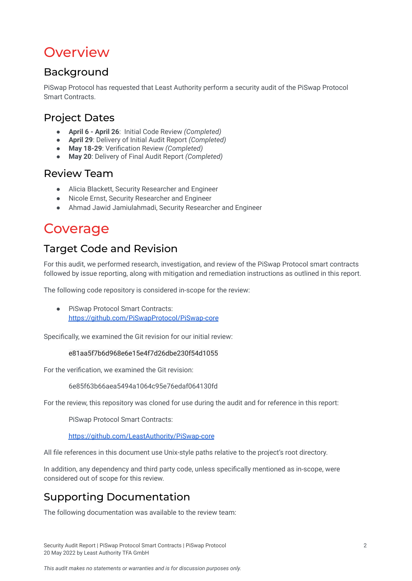# <span id="page-2-0"></span>**Overview**

# <span id="page-2-1"></span>Background

PiSwap Protocol has requested that Least Authority perform a security audit of the PiSwap Protocol Smart Contracts.

# <span id="page-2-2"></span>Project Dates

- **April 6 - April 26**: Initial Code Review *(Completed)*
- **April 29**: Delivery of Initial Audit Report *(Completed)*
- **May 18-29**: Verification Review *(Completed)*
- **May 20**: Delivery of Final Audit Report *(Completed)*

### <span id="page-2-3"></span>Review Team

- Alicia Blackett, Security Researcher and Engineer
- Nicole Ernst, Security Researcher and Engineer
- Ahmad Jawid Jamiulahmadi, Security Researcher and Engineer

# <span id="page-2-4"></span>**Coverage**

# <span id="page-2-5"></span>Target Code and Revision

For this audit, we performed research, investigation, and review of the PiSwap Protocol smart contracts followed by issue reporting, along with mitigation and remediation instructions as outlined in this report.

The following code repository is considered in-scope for the review:

● PiSwap Protocol Smart Contracts: <https://github.com/PiSwapProtocol/PiSwap-core>

Specifically, we examined the Git revision for our initial review:

#### e81aa5f7b6d968e6e15e4f7d26dbe230f54d1055

For the verification, we examined the Git revision:

6e85f63b66aea5494a1064c95e76edaf064130fd

For the review, this repository was cloned for use during the audit and for reference in this report:

PiSwap Protocol Smart Contracts:

<https://github.com/LeastAuthority/PiSwap-core>

All file references in this document use Unix-style paths relative to the project's root directory.

In addition, any dependency and third party code, unless specifically mentioned as in-scope, were considered out of scope for this review.

# <span id="page-2-6"></span>Supporting Documentation

The following documentation was available to the review team: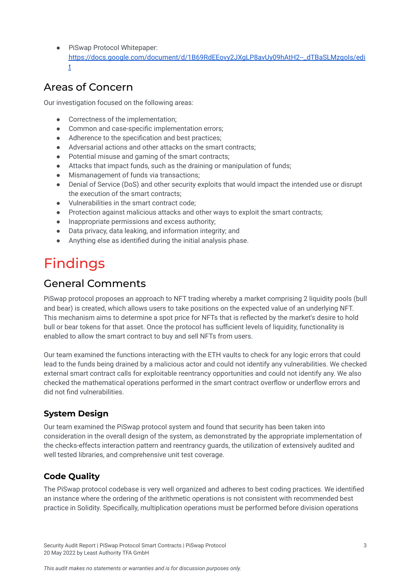PiSwap Protocol Whitepaper: https://docs.google.com/document/d/1B69RdEEovy2JXgLP8avUy09hAtH2--\_dTBaSLMzgoIs/edi [t](https://docs.google.com/document/d/1B69RdEEovy2JXgLP8avUy09hAtH2--_dTBaSLMzqoIs/edit)

## <span id="page-3-0"></span>Areas of Concern

Our investigation focused on the following areas:

- Correctness of the implementation;
- Common and case-specific implementation errors:
- Adherence to the specification and best practices;
- Adversarial actions and other attacks on the smart contracts;
- Potential misuse and gaming of the smart contracts;
- Attacks that impact funds, such as the draining or manipulation of funds;
- Mismanagement of funds via transactions;
- Denial of Service (DoS) and other security exploits that would impact the intended use or disrupt the execution of the smart contracts;
- Vulnerabilities in the smart contract code;
- Protection against malicious attacks and other ways to exploit the smart contracts;
- Inappropriate permissions and excess authority;
- Data privacy, data leaking, and information integrity; and
- Anything else as identified during the initial analysis phase.

# <span id="page-3-1"></span>Findings

### <span id="page-3-2"></span>General Comments

PiSwap protocol proposes an approach to NFT trading whereby a market comprising 2 liquidity pools (bull and bear) is created, which allows users to take positions on the expected value of an underlying NFT. This mechanism aims to determine a spot price for NFTs that is reflected by the market's desire to hold bull or bear tokens for that asset. Once the protocol has sufficient levels of liquidity, functionality is enabled to allow the smart contract to buy and sell NFTs from users.

Our team examined the functions interacting with the ETH vaults to check for any logic errors that could lead to the funds being drained by a malicious actor and could not identify any vulnerabilities. We checked external smart contract calls for exploitable reentrancy opportunities and could not identify any. We also checked the mathematical operations performed in the smart contract overflow or underflow errors and did not find vulnerabilities.

### <span id="page-3-3"></span>**System Design**

Our team examined the PiSwap protocol system and found that security has been taken into consideration in the overall design of the system, as demonstrated by the appropriate implementation of the checks-effects interaction pattern and reentrancy guards, the utilization of extensively audited and well tested libraries, and comprehensive unit test coverage.

### <span id="page-3-4"></span>**Code Quality**

The PiSwap protocol codebase is very well organized and adheres to best coding practices. We identified an instance where the ordering of the arithmetic operations is not consistent with recommended best practice in Solidity. Specifically, multiplication operations must be performed before division operations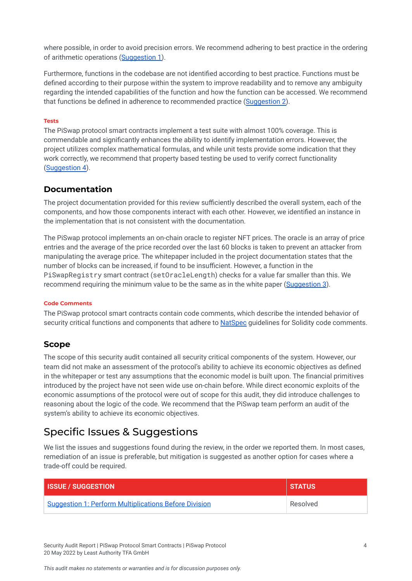where possible, in order to avoid precision errors. We recommend adhering to best practice in the ordering of arithmetic operations ([Suggestion](#page-5-1) 1).

Furthermore, functions in the codebase are not identified according to best practice. Functions must be defined according to their purpose within the system to improve readability and to remove any ambiguity regarding the intended capabilities of the function and how the function can be accessed. We recommend that functions be defined in adherence to recommended practice ([Suggestion](#page-5-2) 2).

#### **Tests**

The PiSwap protocol smart contracts implement a test suite with almost 100% coverage. This is commendable and significantly enhances the ability to identify implementation errors. However, the project utilizes complex mathematical formulas, and while unit tests provide some indication that they work correctly, we recommend that property based testing be used to verify correct functionality ([Suggestion](#page-7-0) 4).

#### <span id="page-4-0"></span>**Documentation**

The project documentation provided for this review sufficiently described the overall system, each of the components, and how those components interact with each other. However, we identified an instance in the implementation that is not consistent with the documentation.

The PiSwap protocol implements an on-chain oracle to register NFT prices. The oracle is an array of price entries and the average of the price recorded over the last 60 blocks is taken to prevent an attacker from manipulating the average price. The whitepaper included in the project documentation states that the number of blocks can be increased, if found to be insufficient. However, a function in the PiSwapRegistry smart contract (setOracleLength) checks for a value far smaller than this. We recommend requiring the minimum value to be the same as in the white paper [\(Suggestion](#page-6-1) 3).

#### **Code Comments**

The PiSwap protocol smart contracts contain code comments, which describe the intended behavior of security critical functions and components that adhere to [NatSpec](https://docs.soliditylang.org/en/latest/natspec-format.html) quidelines for Solidity code comments.

#### <span id="page-4-1"></span>**Scope**

The scope of this security audit contained all security critical components of the system. However, our team did not make an assessment of the protocol's ability to achieve its economic objectives as defined in the whitepaper or test any assumptions that the economic model is built upon. The financial primitives introduced by the project have not seen wide use on-chain before. While direct economic exploits of the economic assumptions of the protocol were out of scope for this audit, they did introduce challenges to reasoning about the logic of the code. We recommend that the PiSwap team perform an audit of the system's ability to achieve its economic objectives.

### <span id="page-4-2"></span>Specific Issues & Suggestions

We list the issues and suggestions found during the review, in the order we reported them. In most cases, remediation of an issue is preferable, but mitigation is suggested as another option for cases where a trade-off could be required.

| <b>I ISSUE / SUGGESTION</b>                           | <b>STATUS</b> |
|-------------------------------------------------------|---------------|
| Suggestion 1: Perform Multiplications Before Division | Resolved      |

Security Audit Report | PiSwap Protocol Smart Contracts | PiSwap Protocol 4 20 May 2022 by Least Authority TFA GmbH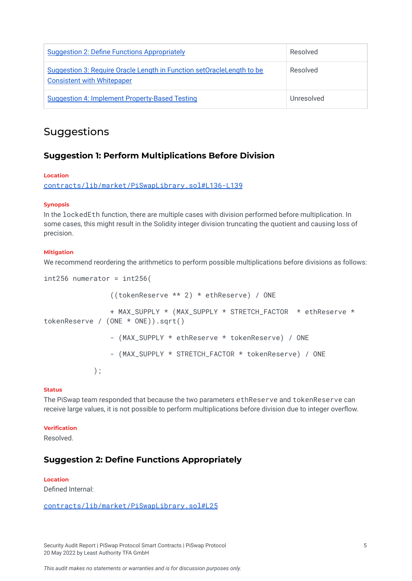| <b>Suggestion 2: Define Functions Appropriately</b>                                                          | Resolved   |
|--------------------------------------------------------------------------------------------------------------|------------|
| Suggestion 3: Require Oracle Length in Function set Oracle Length to be<br><b>Consistent with Whitepaper</b> | Resolved   |
| <b>Suggestion 4: Implement Property-Based Testing</b>                                                        | Unresolved |

### <span id="page-5-0"></span>Suggestions

#### <span id="page-5-1"></span>**Suggestion 1: Perform Multiplications Before Division**

#### **Location**

[contracts/lib/market/PiSwapLibrary.sol#L136-L139](https://github.com/LeastAuthority/PiSwap-core/blob/e81aa5f7b6d968e6e15e4f7d26dbe230f54d1055/contracts/lib/market/PiSwapLibrary.sol#L136-L139)

#### **Synopsis**

In the lockedEth function, there are multiple cases with division performed before multiplication. In some cases, this might result in the Solidity integer division truncating the quotient and causing loss of precision.

#### **Mitigation**

We recommend reordering the arithmetics to perform possible multiplications before divisions as follows:

```
int256 numerator = int256((tokenReserve ** 2) * ethReserve) / ONE
                + MAX_SUPPLY * (MAX_SUPPLY * STRETCH_FACTOR * ethReserve *
tokenReserve / (ONE * ONE)).sqrt()
                - (MAX_SUPPLY * ethReserve * tokenReserve) / ONE
                - (MAX_SUPPLY * STRETCH_FACTOR * tokenReserve) / ONE
           );
```
#### **Status**

The PiSwap team responded that because the two parameters ethReserve and tokenReserve can receive large values, it is not possible to perform multiplications before division due to integer overflow.

#### **Verification**

Resolved.

#### <span id="page-5-2"></span>**Suggestion 2: Define Functions Appropriately**

#### **Location**

Defined Internal:

#### [contracts/lib/market/PiSwapLibrary.sol#L25](https://github.com/LeastAuthority/PiSwap-core/blob/e81aa5f7b6d968e6e15e4f7d26dbe230f54d1055/contracts/lib/market/PiSwapLibrary.sol#L25)

Security Audit Report | PiSwap Protocol Smart Contracts | PiSwap Protocol 5 20 May 2022 by Least Authority TFA GmbH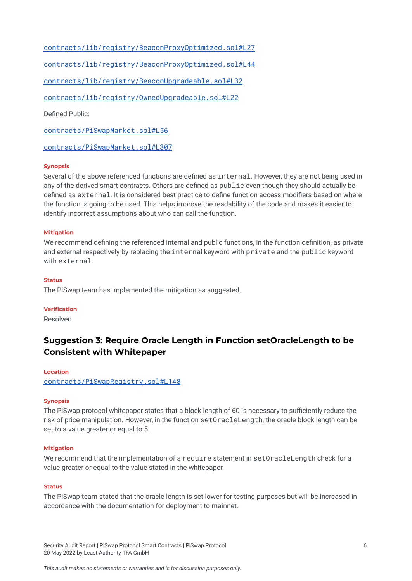[contracts/lib/registry/BeaconProxyOptimized.sol#L27](https://github.com/LeastAuthority/PiSwap-core/blob/e81aa5f7b6d968e6e15e4f7d26dbe230f54d1055/contracts/lib/registry/BeaconProxyOptimized.sol#L27)

[contracts/lib/registry/BeaconProxyOptimized.sol#L44](https://github.com/LeastAuthority/PiSwap-core/blob/e81aa5f7b6d968e6e15e4f7d26dbe230f54d1055/contracts/lib/registry/BeaconProxyOptimized.sol#L44)

[contracts/lib/registry/BeaconUpgradeable.sol#L32](https://github.com/LeastAuthority/PiSwap-core/blob/e81aa5f7b6d968e6e15e4f7d26dbe230f54d1055/contracts/lib/registry/BeaconUpgradeable.sol#L32)

[contracts/lib/registry/OwnedUpgradeable.sol#L22](https://github.com/LeastAuthority/PiSwap-core/blob/e81aa5f7b6d968e6e15e4f7d26dbe230f54d1055/contracts/lib/registry/OwnedUpgradeable.sol#L22)

Defined Public:

[contracts/PiSwapMarket.sol#L56](https://github.com/LeastAuthority/PiSwap-core/blob/e81aa5f7b6d968e6e15e4f7d26dbe230f54d1055/contracts/PiSwapMarket.sol#L56)

[contracts/PiSwapMarket.sol#L307](https://github.com/LeastAuthority/PiSwap-core/blob/e81aa5f7b6d968e6e15e4f7d26dbe230f54d1055/contracts/PiSwapMarket.sol#L307)

#### **Synopsis**

Several of the above referenced functions are defined as internal. However, they are not being used in any of the derived smart contracts. Others are defined as public even though they should actually be defined as external. It is considered best practice to define function access modifiers based on where the function is going to be used. This helps improve the readability of the code and makes it easier to identify incorrect assumptions about who can call the function.

#### **Mitigation**

We recommend defining the referenced internal and public functions, in the function definition, as private and external respectively by replacing the internal keyword with private and the public keyword with external.

#### **Status**

The PiSwap team has implemented the mitigation as suggested.

#### **Verification**

Resolved.

### <span id="page-6-1"></span><span id="page-6-0"></span>**Suggestion 3: Require Oracle Length in Function setOracleLength to be Consistent with Whitepaper**

#### **Location**

[contracts/PiSwapRegistry.sol#L148](https://github.com/LeastAuthority/PiSwap-core/blob/e81aa5f7b6d968e6e15e4f7d26dbe230f54d1055/contracts/PiSwapRegistry.sol#L148)

#### **Synopsis**

The PiSwap protocol whitepaper states that a block length of 60 is necessary to sufficiently reduce the risk of price manipulation. However, in the function setOracleLength, the oracle block length can be set to a value greater or equal to 5.

#### **Mitigation**

We recommend that the implementation of a require statement in setOracleLength check for a value greater or equal to the value stated in the whitepaper.

#### **Status**

The PiSwap team stated that the oracle length is set lower for testing purposes but will be increased in accordance with the documentation for deployment to mainnet.

Security Audit Report | PiSwap Protocol Smart Contracts | PiSwap Protocol 6 20 May 2022 by Least Authority TFA GmbH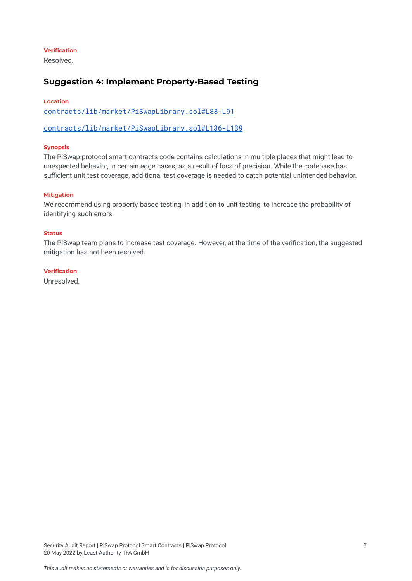#### **Verification**

Resolved.

#### <span id="page-7-0"></span>**Suggestion 4: Implement Property-Based Testing**

#### **Location**

[contracts/lib/market/PiSwapLibrary.sol#L88-L91](https://github.com/LeastAuthority/PiSwap-core/blob/e81aa5f7b6d968e6e15e4f7d26dbe230f54d1055/contracts/lib/market/PiSwapLibrary.sol#L88-L91)

[contracts/lib/market/PiSwapLibrary.sol#L136-L139](https://github.com/LeastAuthority/PiSwap-core/blob/e81aa5f7b6d968e6e15e4f7d26dbe230f54d1055/contracts/lib/market/PiSwapLibrary.sol#L136-L139)

#### **Synopsis**

The PiSwap protocol smart contracts code contains calculations in multiple places that might lead to unexpected behavior, in certain edge cases, as a result of loss of precision. While the codebase has sufficient unit test coverage, additional test coverage is needed to catch potential unintended behavior.

#### **Mitigation**

We recommend using property-based testing, in addition to unit testing, to increase the probability of identifying such errors.

#### **Status**

The PiSwap team plans to increase test coverage. However, at the time of the verification, the suggested mitigation has not been resolved.

#### **Verification**

Unresolved.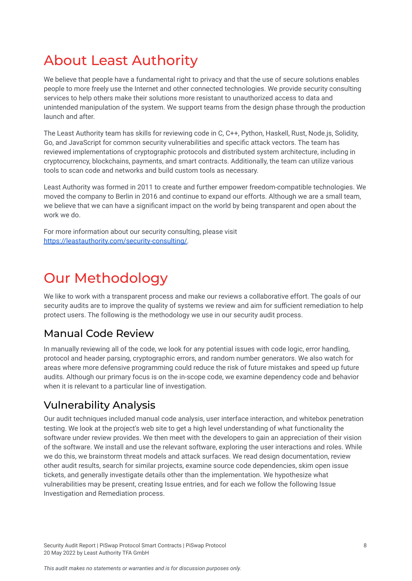# <span id="page-8-0"></span>About Least Authority

We believe that people have a fundamental right to privacy and that the use of secure solutions enables people to more freely use the Internet and other connected technologies. We provide security consulting services to help others make their solutions more resistant to unauthorized access to data and unintended manipulation of the system. We support teams from the design phase through the production launch and after.

The Least Authority team has skills for reviewing code in C, C++, Python, Haskell, Rust, Node.js, Solidity, Go, and JavaScript for common security vulnerabilities and specific attack vectors. The team has reviewed implementations of cryptographic protocols and distributed system architecture, including in cryptocurrency, blockchains, payments, and smart contracts. Additionally, the team can utilize various tools to scan code and networks and build custom tools as necessary.

Least Authority was formed in 2011 to create and further empower freedom-compatible technologies. We moved the company to Berlin in 2016 and continue to expand our efforts. Although we are a small team, we believe that we can have a significant impact on the world by being transparent and open about the work we do.

For more information about our security consulting, please visit [https://leastauthority.com/security-consulting/.](https://leastauthority.com/security-consulting/)

# <span id="page-8-1"></span>Our Methodology

We like to work with a transparent process and make our reviews a collaborative effort. The goals of our security audits are to improve the quality of systems we review and aim for sufficient remediation to help protect users. The following is the methodology we use in our security audit process.

# Manual Code Review

In manually reviewing all of the code, we look for any potential issues with code logic, error handling, protocol and header parsing, cryptographic errors, and random number generators. We also watch for areas where more defensive programming could reduce the risk of future mistakes and speed up future audits. Although our primary focus is on the in-scope code, we examine dependency code and behavior when it is relevant to a particular line of investigation.

# Vulnerability Analysis

Our audit techniques included manual code analysis, user interface interaction, and whitebox penetration testing. We look at the project's web site to get a high level understanding of what functionality the software under review provides. We then meet with the developers to gain an appreciation of their vision of the software. We install and use the relevant software, exploring the user interactions and roles. While we do this, we brainstorm threat models and attack surfaces. We read design documentation, review other audit results, search for similar projects, examine source code dependencies, skim open issue tickets, and generally investigate details other than the implementation. We hypothesize what vulnerabilities may be present, creating Issue entries, and for each we follow the following Issue Investigation and Remediation process.